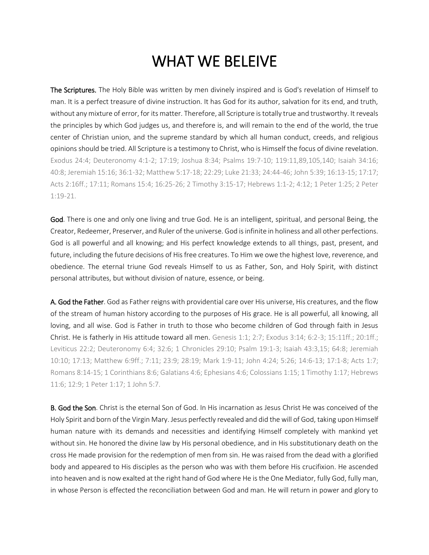## WHAT WE BELEIVE

The Scriptures. The Holy Bible was written by men divinely inspired and is God's revelation of Himself to man. It is a perfect treasure of divine instruction. It has God for its author, salvation for its end, and truth, without any mixture of error, for its matter. Therefore, all Scripture is totally true and trustworthy. It reveals the principles by which God judges us, and therefore is, and will remain to the end of the world, the true center of Christian union, and the supreme standard by which all human conduct, creeds, and religious opinions should be tried. All Scripture is a testimony to Christ, who is Himself the focus of divine revelation. Exodus 24:4; Deuteronomy 4:1-2; 17:19; Joshua 8:34; Psalms 19:7-10; 119:11,89,105,140; Isaiah 34:16; 40:8; Jeremiah 15:16; 36:1-32; Matthew 5:17-18; 22:29; Luke 21:33; 24:44-46; John 5:39; 16:13-15; 17:17; Acts 2:16ff.; 17:11; Romans 15:4; 16:25-26; 2 Timothy 3:15-17; Hebrews 1:1-2; 4:12; 1 Peter 1:25; 2 Peter 1:19-21.

God. There is one and only one living and true God. He is an intelligent, spiritual, and personal Being, the Creator, Redeemer, Preserver, and Ruler of the universe. God is infinite in holiness and all other perfections. God is all powerful and all knowing; and His perfect knowledge extends to all things, past, present, and future, including the future decisions of His free creatures. To Him we owe the highest love, reverence, and obedience. The eternal triune God reveals Himself to us as Father, Son, and Holy Spirit, with distinct personal attributes, but without division of nature, essence, or being.

A. God the Father. God as Father reigns with providential care over His universe, His creatures, and the flow of the stream of human history according to the purposes of His grace. He is all powerful, all knowing, all loving, and all wise. God is Father in truth to those who become children of God through faith in Jesus Christ. He is fatherly in His attitude toward all men. Genesis 1:1; 2:7; Exodus 3:14; 6:2-3; 15:11ff.; 20:1ff.; Leviticus 22:2; Deuteronomy 6:4; 32:6; 1 Chronicles 29:10; Psalm 19:1-3; Isaiah 43:3,15; 64:8; Jeremiah 10:10; 17:13; Matthew 6:9ff.; 7:11; 23:9; 28:19; Mark 1:9-11; John 4:24; 5:26; 14:6-13; 17:1-8; Acts 1:7; Romans 8:14-15; 1 Corinthians 8:6; Galatians 4:6; Ephesians 4:6; Colossians 1:15; 1 Timothy 1:17; Hebrews 11:6; 12:9; 1 Peter 1:17; 1 John 5:7.

B. God the Son. Christ is the eternal Son of God. In His incarnation as Jesus Christ He was conceived of the Holy Spirit and born of the Virgin Mary. Jesus perfectly revealed and did the will of God, taking upon Himself human nature with its demands and necessities and identifying Himself completely with mankind yet without sin. He honored the divine law by His personal obedience, and in His substitutionary death on the cross He made provision for the redemption of men from sin. He was raised from the dead with a glorified body and appeared to His disciples as the person who was with them before His crucifixion. He ascended into heaven and is now exalted at the right hand of God where He is the One Mediator, fully God, fully man, in whose Person is effected the reconciliation between God and man. He will return in power and glory to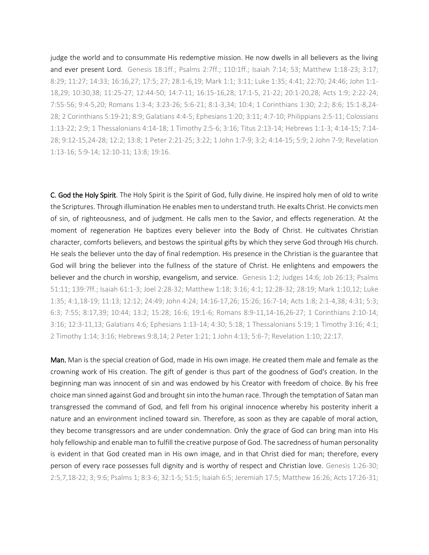judge the world and to consummate His redemptive mission. He now dwells in all believers as the living and ever present Lord. Genesis 18:1ff.; Psalms 2:7ff.; 110:1ff.; Isaiah 7:14; 53; Matthew 1:18-23; 3:17; 8:29; 11:27; 14:33; 16:16,27; 17:5; 27; 28:1-6,19; Mark 1:1; 3:11; Luke 1:35; 4:41; 22:70; 24:46; John 1:1- 18,29; 10:30,38; 11:25-27; 12:44-50; 14:7-11; 16:15-16,28; 17:1-5, 21-22; 20:1-20,28; Acts 1:9; 2:22-24; 7:55-56; 9:4-5,20; Romans 1:3-4; 3:23-26; 5:6-21; 8:1-3,34; 10:4; 1 Corinthians 1:30; 2:2; 8:6; 15:1-8,24- 28; 2 Corinthians 5:19-21; 8:9; Galatians 4:4-5; Ephesians 1:20; 3:11; 4:7-10; Philippians 2:5-11; Colossians 1:13-22; 2:9; 1 Thessalonians 4:14-18; 1 Timothy 2:5-6; 3:16; Titus 2:13-14; Hebrews 1:1-3; 4:14-15; 7:14- 28; 9:12-15,24-28; 12:2; 13:8; 1 Peter 2:21-25; 3:22; 1 John 1:7-9; 3:2; 4:14-15; 5:9; 2 John 7-9; Revelation 1:13-16; 5:9-14; 12:10-11; 13:8; 19:16.

C. God the Holy Spirit. The Holy Spirit is the Spirit of God, fully divine. He inspired holy men of old to write the Scriptures. Through illumination He enables men to understand truth. He exalts Christ. He convicts men of sin, of righteousness, and of judgment. He calls men to the Savior, and effects regeneration. At the moment of regeneration He baptizes every believer into the Body of Christ. He cultivates Christian character, comforts believers, and bestows the spiritual gifts by which they serve God through His church. He seals the believer unto the day of final redemption. His presence in the Christian is the guarantee that God will bring the believer into the fullness of the stature of Christ. He enlightens and empowers the believer and the church in worship, evangelism, and service. Genesis 1:2; Judges 14:6; Job 26:13; Psalms 51:11; 139:7ff.; Isaiah 61:1-3; Joel 2:28-32; Matthew 1:18; 3:16; 4:1; 12:28-32; 28:19; Mark 1:10,12; Luke 1:35; 4:1,18-19; 11:13; 12:12; 24:49; John 4:24; 14:16-17,26; 15:26; 16:7-14; Acts 1:8; 2:1-4,38; 4:31; 5:3; 6:3; 7:55; 8:17,39; 10:44; 13:2; 15:28; 16:6; 19:1-6; Romans 8:9-11,14-16,26-27; 1 Corinthians 2:10-14; 3:16; 12:3-11,13; Galatians 4:6; Ephesians 1:13-14; 4:30; 5:18; 1 Thessalonians 5:19; 1 Timothy 3:16; 4:1; 2 Timothy 1:14; 3:16; Hebrews 9:8,14; 2 Peter 1:21; 1 John 4:13; 5:6-7; Revelation 1:10; 22:17.

Man. Man is the special creation of God, made in His own image. He created them male and female as the crowning work of His creation. The gift of gender is thus part of the goodness of God's creation. In the beginning man was innocent of sin and was endowed by his Creator with freedom of choice. By his free choice man sinned against God and brought sin into the human race. Through the temptation of Satan man transgressed the command of God, and fell from his original innocence whereby his posterity inherit a nature and an environment inclined toward sin. Therefore, as soon as they are capable of moral action, they become transgressors and are under condemnation. Only the grace of God can bring man into His holy fellowship and enable man to fulfill the creative purpose of God. The sacredness of human personality is evident in that God created man in His own image, and in that Christ died for man; therefore, every person of every race possesses full dignity and is worthy of respect and Christian love. Genesis 1:26-30; 2:5,7,18-22; 3; 9:6; Psalms 1; 8:3-6; 32:1-5; 51:5; Isaiah 6:5; Jeremiah 17:5; Matthew 16:26; Acts 17:26-31;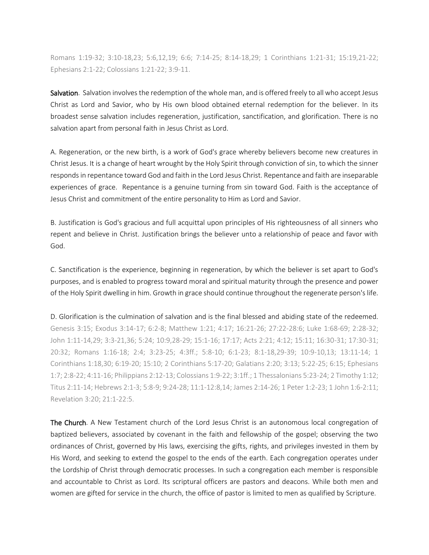Romans 1:19-32; 3:10-18,23; 5:6,12,19; 6:6; 7:14-25; 8:14-18,29; 1 Corinthians 1:21-31; 15:19,21-22; Ephesians 2:1-22; Colossians 1:21-22; 3:9-11.

Salvation. Salvation involves the redemption of the whole man, and is offered freely to all who accept Jesus Christ as Lord and Savior, who by His own blood obtained eternal redemption for the believer. In its broadest sense salvation includes regeneration, justification, sanctification, and glorification. There is no salvation apart from personal faith in Jesus Christ as Lord.

A. Regeneration, or the new birth, is a work of God's grace whereby believers become new creatures in Christ Jesus. It is a change of heart wrought by the Holy Spirit through conviction of sin, to which the sinner responds in repentance toward God and faith in the Lord Jesus Christ. Repentance and faith are inseparable experiences of grace. Repentance is a genuine turning from sin toward God. Faith is the acceptance of Jesus Christ and commitment of the entire personality to Him as Lord and Savior.

B. Justification is God's gracious and full acquittal upon principles of His righteousness of all sinners who repent and believe in Christ. Justification brings the believer unto a relationship of peace and favor with God.

C. Sanctification is the experience, beginning in regeneration, by which the believer is set apart to God's purposes, and is enabled to progress toward moral and spiritual maturity through the presence and power of the Holy Spirit dwelling in him. Growth in grace should continue throughout the regenerate person's life.

## D. Glorification is the culmination of salvation and is the final blessed and abiding state of the redeemed.

Genesis 3:15; Exodus 3:14-17; 6:2-8; Matthew 1:21; 4:17; 16:21-26; 27:22-28:6; Luke 1:68-69; 2:28-32; John 1:11-14,29; 3:3-21,36; 5:24; 10:9,28-29; 15:1-16; 17:17; Acts 2:21; 4:12; 15:11; 16:30-31; 17:30-31; 20:32; Romans 1:16-18; 2:4; 3:23-25; 4:3ff.; 5:8-10; 6:1-23; 8:1-18,29-39; 10:9-10,13; 13:11-14; 1 Corinthians 1:18,30; 6:19-20; 15:10; 2 Corinthians 5:17-20; Galatians 2:20; 3:13; 5:22-25; 6:15; Ephesians 1:7; 2:8-22; 4:11-16; Philippians 2:12-13; Colossians 1:9-22; 3:1ff.; 1 Thessalonians 5:23-24; 2 Timothy 1:12; Titus 2:11-14; Hebrews 2:1-3; 5:8-9; 9:24-28; 11:1-12:8,14; James 2:14-26; 1 Peter 1:2-23; 1 John 1:6-2:11; Revelation 3:20; 21:1-22:5.

The Church. A New Testament church of the Lord Jesus Christ is an autonomous local congregation of baptized believers, associated by covenant in the faith and fellowship of the gospel; observing the two ordinances of Christ, governed by His laws, exercising the gifts, rights, and privileges invested in them by His Word, and seeking to extend the gospel to the ends of the earth. Each congregation operates under the Lordship of Christ through democratic processes. In such a congregation each member is responsible and accountable to Christ as Lord. Its scriptural officers are pastors and deacons. While both men and women are gifted for service in the church, the office of pastor is limited to men as qualified by Scripture.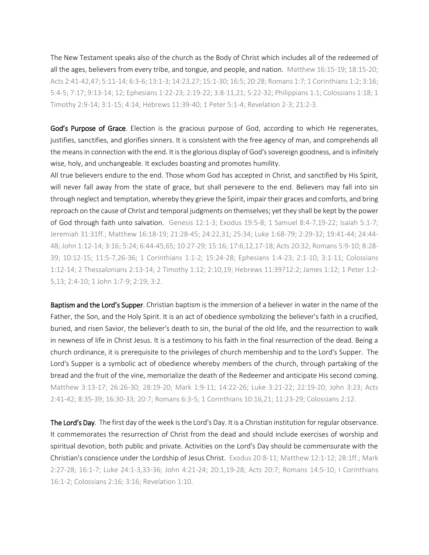The New Testament speaks also of the church as the Body of Christ which includes all of the redeemed of all the ages, believers from every tribe, and tongue, and people, and nation. Matthew 16:15-19; 18:15-20; Acts 2:41-42,47; 5:11-14; 6:3-6; 13:1-3; 14:23,27; 15:1-30; 16:5; 20:28; Romans 1:7; 1 Corinthians 1:2; 3:16; 5:4-5; 7:17; 9:13-14; 12; Ephesians 1:22-23; 2:19-22; 3:8-11,21; 5:22-32; Philippians 1:1; Colossians 1:18; 1 Timothy 2:9-14; 3:1-15; 4:14; Hebrews 11:39-40; 1 Peter 5:1-4; Revelation 2-3; 21:2-3.

God's Purpose of Grace. Election is the gracious purpose of God, according to which He regenerates, justifies, sanctifies, and glorifies sinners. It is consistent with the free agency of man, and comprehends all the means in connection with the end. It is the glorious display of God's sovereign goodness, and is infinitely wise, holy, and unchangeable. It excludes boasting and promotes humility.

All true believers endure to the end. Those whom God has accepted in Christ, and sanctified by His Spirit, will never fall away from the state of grace, but shall persevere to the end. Believers may fall into sin through neglect and temptation, whereby they grieve the Spirit, impair their graces and comforts, and bring reproach on the cause of Christ and temporal judgments on themselves; yet they shall be kept by the power of God through faith unto salvation. Genesis 12:1-3; Exodus 19:5-8; 1 Samuel 8:4-7,19-22; Isaiah 5:1-7; Jeremiah 31:31ff.; Matthew 16:18-19; 21:28-45; 24:22,31; 25:34; Luke 1:68-79; 2:29-32; 19:41-44; 24:44- 48; John 1:12-14; 3:16; 5:24; 6:44-45,65; 10:27-29; 15:16; 17:6,12,17-18; Acts 20:32; Romans 5:9-10; 8:28- 39; 10:12-15; 11:5-7,26-36; 1 Corinthians 1:1-2; 15:24-28; Ephesians 1:4-23; 2:1-10; 3:1-11; Colossians 1:12-14; 2 Thessalonians 2:13-14; 2 Timothy 1:12; 2:10,19; Hebrews 11:39?12:2; James 1:12; 1 Peter 1:2- 5,13; 2:4-10; 1 John 1:7-9; 2:19; 3:2.

Baptism and the Lord's Supper. Christian baptism is the immersion of a believer in water in the name of the Father, the Son, and the Holy Spirit. It is an act of obedience symbolizing the believer's faith in a crucified, buried, and risen Savior, the believer's death to sin, the burial of the old life, and the resurrection to walk in newness of life in Christ Jesus. It is a testimony to his faith in the final resurrection of the dead. Being a church ordinance, it is prerequisite to the privileges of church membership and to the Lord's Supper. The Lord's Supper is a symbolic act of obedience whereby members of the church, through partaking of the bread and the fruit of the vine, memorialize the death of the Redeemer and anticipate His second coming. Matthew 3:13-17; 26:26-30; 28:19-20; Mark 1:9-11; 14:22-26; Luke 3:21-22; 22:19-20; John 3:23; Acts 2:41-42; 8:35-39; 16:30-33; 20:7; Romans 6:3-5; 1 Corinthians 10:16,21; 11:23-29; Colossians 2:12.

The Lord's Day. The first day of the week is the Lord's Day. It is a Christian institution for regular observance. It commemorates the resurrection of Christ from the dead and should include exercises of worship and spiritual devotion, both public and private. Activities on the Lord's Day should be commensurate with the Christian's conscience under the Lordship of Jesus Christ. Exodus 20:8-11; Matthew 12:1-12; 28:1ff.; Mark 2:27-28; 16:1-7; Luke 24:1-3,33-36; John 4:21-24; 20:1,19-28; Acts 20:7; Romans 14:5-10; I Corinthians 16:1-2; Colossians 2:16; 3:16; Revelation 1:10.